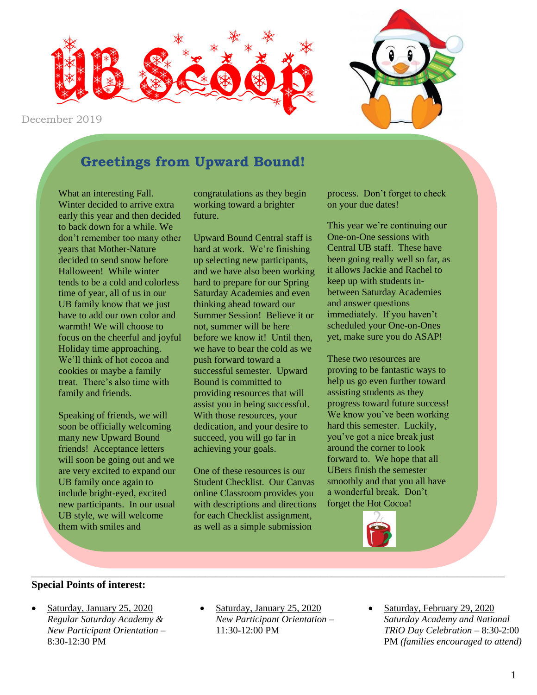



# **Greetings from Upward Bound!**

What an interesting Fall. Winter decided to arrive extra early this year and then decided to back down for a while. We don't remember too many other years that Mother-Nature decided to send snow before Halloween! While winter tends to be a cold and colorless time of year, all of us in our UB family know that we just have to add our own color and warmth! We will choose to focus on the cheerful and joyful Holiday time approaching. We'll think of hot cocoa and cookies or maybe a family treat. There's also time with family and friends.

Speaking of friends, we will soon be officially welcoming many new Upward Bound friends! Acceptance letters will soon be going out and we are very excited to expand our UB family once again to include bright-eyed, excited new participants. In our usual UB style, we will welcome them with smiles and

congratulations as they begin working toward a brighter future.

Upward Bound Central staff is hard at work. We're finishing up selecting new participants, and we have also been working hard to prepare for our Spring Saturday Academies and even thinking ahead toward our Summer Session! Believe it or not, summer will be here before we know it! Until then, we have to bear the cold as we push forward toward a successful semester. Upward Bound is committed to providing resources that will assist you in being successful. With those resources, your dedication, and your desire to succeed, you will go far in achieving your goals.

One of these resources is our Student Checklist. Our Canvas online Classroom provides you with descriptions and directions for each Checklist assignment, as well as a simple submission

process. Don't forget to check on your due dates!

This year we're continuing our One-on-One sessions with Central UB staff. These have been going really well so far, as it allows Jackie and Rachel to keep up with students inbetween Saturday Academies and answer questions immediately. If you haven't scheduled your One-on-Ones yet, make sure you do ASAP!

These two resources are proving to be fantastic ways to help us go even further toward assisting students as they progress toward future success! We know you've been working hard this semester. Luckily, you've got a nice break just around the corner to look forward to. We hope that all UBers finish the semester smoothly and that you all have a wonderful break. Don't forget the Hot Cocoa!



#### **Special Points of interest:**

- Saturday, January 25, 2020 *Regular Saturday Academy & New Participant Orientation –* 8:30-12:30 PM
- Saturday, January 25, 2020 *New Participant Orientation –* 11:30-12:00 PM

\_\_\_\_\_\_\_\_\_\_\_\_\_\_\_\_\_\_\_\_\_\_\_\_\_\_\_\_\_\_\_\_\_\_\_\_\_\_\_\_\_\_\_\_\_\_\_\_\_\_\_\_\_\_\_\_\_\_\_\_\_\_\_\_\_\_\_\_\_\_\_\_\_\_\_\_\_\_\_\_\_\_\_\_\_\_\_\_\_\_

 Saturday, February 29, 2020 *Saturday Academy and National TRiO Day Celebration –* 8:30-2:00 PM *(families encouraged to attend)*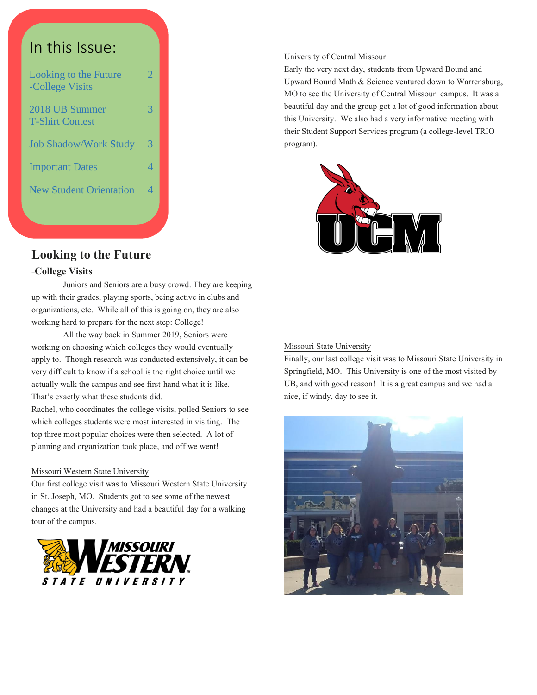

### **Looking to the Future**

#### **-College Visits**

Juniors and Seniors are a busy crowd. They are keeping up with their grades, playing sports, being active in clubs and organizations, etc. While all of this is going on, they are also working hard to prepare for the next step: College!

All the way back in Summer 2019, Seniors were working on choosing which colleges they would eventually apply to. Though research was conducted extensively, it can be very difficult to know if a school is the right choice until we actually walk the campus and see first-hand what it is like. That's exactly what these students did.

Rachel, who coordinates the college visits, polled Seniors to see which colleges students were most interested in visiting. The top three most popular choices were then selected. A lot of planning and organization took place, and off we went!

#### Missouri Western State University

Our first college visit was to Missouri Western State University in St. Joseph, MO. Students got to see some of the newest changes at the University and had a beautiful day for a walking tour of the campus.



#### University of Central Missouri

Early the very next day, students from Upward Bound and Upward Bound Math & Science ventured down to Warrensburg, MO to see the University of Central Missouri campus. It was a beautiful day and the group got a lot of good information about this University. We also had a very informative meeting with their Student Support Services program (a college-level TRIO program).



#### Missouri State University

Finally, our last college visit was to Missouri State University in Springfield, MO. This University is one of the most visited by UB, and with good reason! It is a great campus and we had a nice, if windy, day to see it.

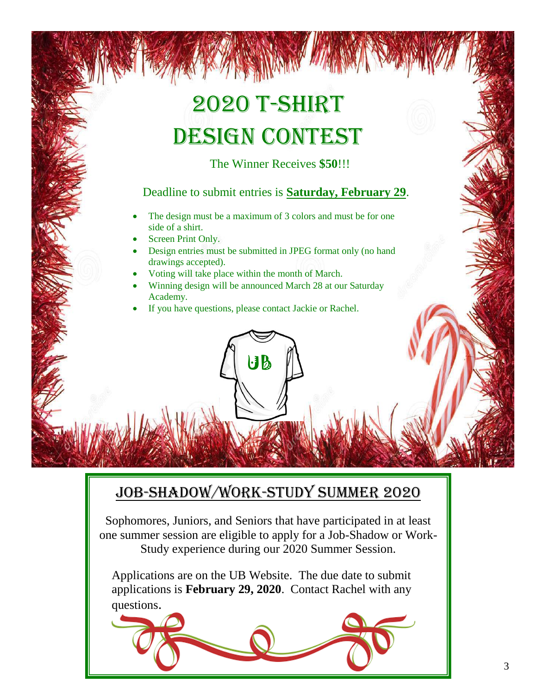# 2020 T-Shirt DESIGN CONTEST

The Winner Receives **\$50**!!!

# Deadline to submit entries is **Saturday, February 29**.

- The design must be a maximum of 3 colors and must be for one side of a shirt.
- Screen Print Only.
- Design entries must be submitted in JPEG format only (no hand drawings accepted).
- Voting will take place within the month of March.
- Winning design will be announced March 28 at our Saturday Academy.

UB

If you have questions, please contact Jackie or Rachel.

# Job-Shadow/Work-Study Summer 2020

Sophomores, Juniors, and Seniors that have participated in at least one summer session are eligible to apply for a Job-Shadow or Work-Study experience during our 2020 Summer Session.

Applications are on the UB Website. The due date to submit applications is **February 29, 2020**. Contact Rachel with any questions.